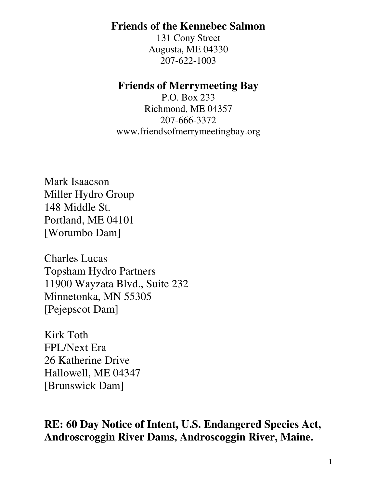### **Friends of the Kennebec Salmon**

131 Cony Street Augusta, ME 04330 207-622-1003

### **Friends of Merrymeeting Bay**

P.O. Box 233 Richmond, ME 04357 207-666-3372 www.friendsofmerrymeetingbay.org

Mark Isaacson Miller Hydro Group 148 Middle St. Portland, ME 04101 [Worumbo Dam]

Charles Lucas Topsham Hydro Partners 11900 Wayzata Blvd., Suite 232 Minnetonka, MN 55305 [Pejepscot Dam]

Kirk Toth FPL/Next Era 26 Katherine Drive Hallowell, ME 04347 [Brunswick Dam]

**RE: 60 Day Notice of Intent, U.S. Endangered Species Act, Androscroggin River Dams, Androscoggin River, Maine.**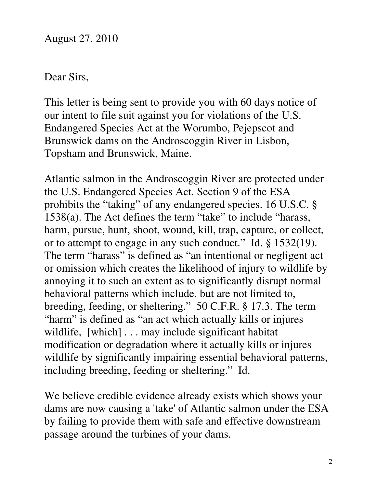### Dear Sirs,

This letter is being sent to provide you with 60 days notice of our intent to file suit against you for violations of the U.S. Endangered Species Act at the Worumbo, Pejepscot and Brunswick dams on the Androscoggin River in Lisbon, Topsham and Brunswick, Maine.

Atlantic salmon in the Androscoggin River are protected under the U.S. Endangered Species Act. Section 9 of the ESA prohibits the "taking" of any endangered species. 16 U.S.C. § 1538(a). The Act defines the term "take" to include "harass, harm, pursue, hunt, shoot, wound, kill, trap, capture, or collect, or to attempt to engage in any such conduct." Id. § 1532(19). The term "harass" is defined as "an intentional or negligent act or omission which creates the likelihood of injury to wildlife by annoying it to such an extent as to significantly disrupt normal behavioral patterns which include, but are not limited to, breeding, feeding, or sheltering." 50 C.F.R. § 17.3. The term "harm" is defined as "an act which actually kills or injures" wildlife, [which] . . . may include significant habitat modification or degradation where it actually kills or injures wildlife by significantly impairing essential behavioral patterns, including breeding, feeding or sheltering." Id.

We believe credible evidence already exists which shows your dams are now causing a 'take' of Atlantic salmon under the ESA by failing to provide them with safe and effective downstream passage around the turbines of your dams.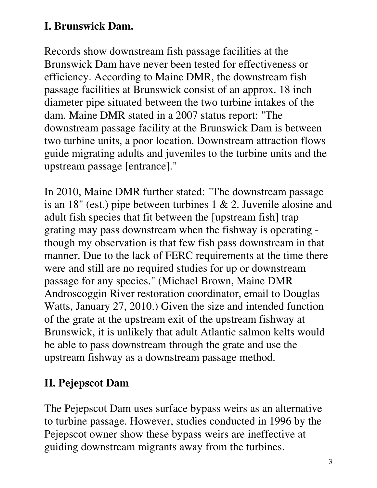## **I. Brunswick Dam.**

Records show downstream fish passage facilities at the Brunswick Dam have never been tested for effectiveness or efficiency. According to Maine DMR, the downstream fish passage facilities at Brunswick consist of an approx. 18 inch diameter pipe situated between the two turbine intakes of the dam. Maine DMR stated in a 2007 status report: "The downstream passage facility at the Brunswick Dam is between two turbine units, a poor location. Downstream attraction flows guide migrating adults and juveniles to the turbine units and the upstream passage [entrance]."

In 2010, Maine DMR further stated: "The downstream passage is an 18" (est.) pipe between turbines 1 & 2. Juvenile alosine and adult fish species that fit between the [upstream fish] trap grating may pass downstream when the fishway is operating though my observation is that few fish pass downstream in that manner. Due to the lack of FERC requirements at the time there were and still are no required studies for up or downstream passage for any species." (Michael Brown, Maine DMR Androscoggin River restoration coordinator, email to Douglas Watts, January 27, 2010.) Given the size and intended function of the grate at the upstream exit of the upstream fishway at Brunswick, it is unlikely that adult Atlantic salmon kelts would be able to pass downstream through the grate and use the upstream fishway as a downstream passage method.

# **II. Pejepscot Dam**

The Pejepscot Dam uses surface bypass weirs as an alternative to turbine passage. However, studies conducted in 1996 by the Pejepscot owner show these bypass weirs are ineffective at guiding downstream migrants away from the turbines.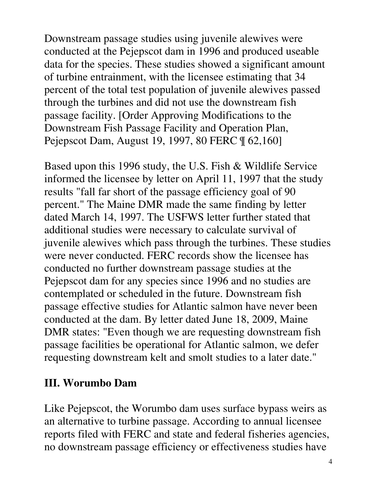Downstream passage studies using juvenile alewives were conducted at the Pejepscot dam in 1996 and produced useable data for the species. These studies showed a significant amount of turbine entrainment, with the licensee estimating that 34 percent of the total test population of juvenile alewives passed through the turbines and did not use the downstream fish passage facility. [Order Approving Modifications to the Downstream Fish Passage Facility and Operation Plan, Pejepscot Dam, August 19, 1997, 80 FERC ¶ 62,160]

Based upon this 1996 study, the U.S. Fish & Wildlife Service informed the licensee by letter on April 11, 1997 that the study results "fall far short of the passage efficiency goal of 90 percent." The Maine DMR made the same finding by letter dated March 14, 1997. The USFWS letter further stated that additional studies were necessary to calculate survival of juvenile alewives which pass through the turbines. These studies were never conducted. FERC records show the licensee has conducted no further downstream passage studies at the Pejepscot dam for any species since 1996 and no studies are contemplated or scheduled in the future. Downstream fish passage effective studies for Atlantic salmon have never been conducted at the dam. By letter dated June 18, 2009, Maine DMR states: "Even though we are requesting downstream fish passage facilities be operational for Atlantic salmon, we defer requesting downstream kelt and smolt studies to a later date."

## **III. Worumbo Dam**

Like Pejepscot, the Worumbo dam uses surface bypass weirs as an alternative to turbine passage. According to annual licensee reports filed with FERC and state and federal fisheries agencies, no downstream passage efficiency or effectiveness studies have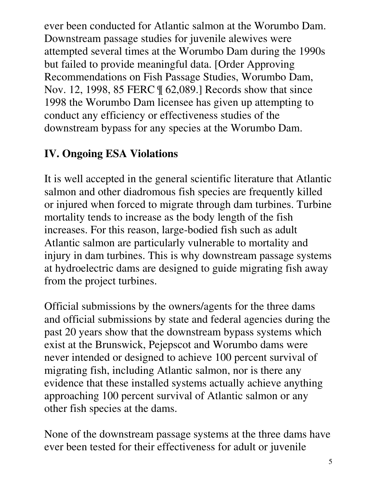ever been conducted for Atlantic salmon at the Worumbo Dam. Downstream passage studies for juvenile alewives were attempted several times at the Worumbo Dam during the 1990s but failed to provide meaningful data. [Order Approving Recommendations on Fish Passage Studies, Worumbo Dam, Nov. 12, 1998, 85 FERC ¶ 62,089.] Records show that since 1998 the Worumbo Dam licensee has given up attempting to conduct any efficiency or effectiveness studies of the downstream bypass for any species at the Worumbo Dam.

## **IV. Ongoing ESA Violations**

It is well accepted in the general scientific literature that Atlantic salmon and other diadromous fish species are frequently killed or injured when forced to migrate through dam turbines. Turbine mortality tends to increase as the body length of the fish increases. For this reason, large-bodied fish such as adult Atlantic salmon are particularly vulnerable to mortality and injury in dam turbines. This is why downstream passage systems at hydroelectric dams are designed to guide migrating fish away from the project turbines.

Official submissions by the owners/agents for the three dams and official submissions by state and federal agencies during the past 20 years show that the downstream bypass systems which exist at the Brunswick, Pejepscot and Worumbo dams were never intended or designed to achieve 100 percent survival of migrating fish, including Atlantic salmon, nor is there any evidence that these installed systems actually achieve anything approaching 100 percent survival of Atlantic salmon or any other fish species at the dams.

None of the downstream passage systems at the three dams have ever been tested for their effectiveness for adult or juvenile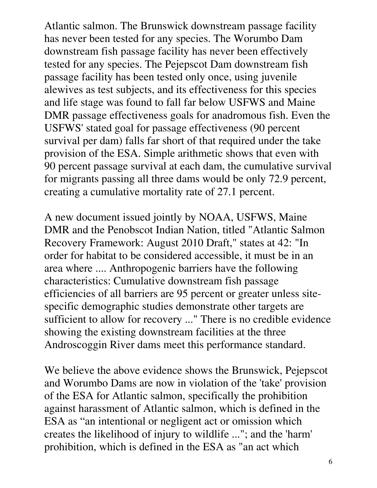Atlantic salmon. The Brunswick downstream passage facility has never been tested for any species. The Worumbo Dam downstream fish passage facility has never been effectively tested for any species. The Pejepscot Dam downstream fish passage facility has been tested only once, using juvenile alewives as test subjects, and its effectiveness for this species and life stage was found to fall far below USFWS and Maine DMR passage effectiveness goals for anadromous fish. Even the USFWS' stated goal for passage effectiveness (90 percent survival per dam) falls far short of that required under the take provision of the ESA. Simple arithmetic shows that even with 90 percent passage survival at each dam, the cumulative survival for migrants passing all three dams would be only 72.9 percent, creating a cumulative mortality rate of 27.1 percent.

A new document issued jointly by NOAA, USFWS, Maine DMR and the Penobscot Indian Nation, titled "Atlantic Salmon Recovery Framework: August 2010 Draft," states at 42: "In order for habitat to be considered accessible, it must be in an area where .... Anthropogenic barriers have the following characteristics: Cumulative downstream fish passage efficiencies of all barriers are 95 percent or greater unless sitespecific demographic studies demonstrate other targets are sufficient to allow for recovery ..." There is no credible evidence showing the existing downstream facilities at the three Androscoggin River dams meet this performance standard.

We believe the above evidence shows the Brunswick, Pejepscot and Worumbo Dams are now in violation of the 'take' provision of the ESA for Atlantic salmon, specifically the prohibition against harassment of Atlantic salmon, which is defined in the ESA as "an intentional or negligent act or omission which creates the likelihood of injury to wildlife ..."; and the 'harm' prohibition, which is defined in the ESA as "an act which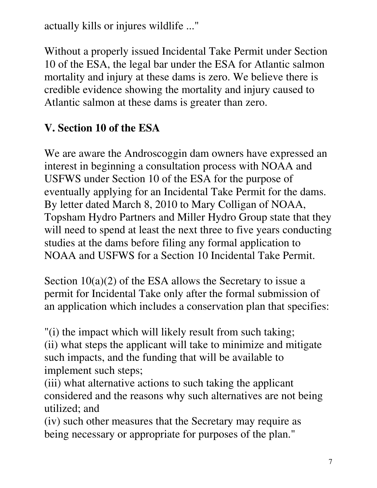actually kills or injures wildlife ..."

Without a properly issued Incidental Take Permit under Section 10 of the ESA, the legal bar under the ESA for Atlantic salmon mortality and injury at these dams is zero. We believe there is credible evidence showing the mortality and injury caused to Atlantic salmon at these dams is greater than zero.

## **V. Section 10 of the ESA**

We are aware the Androscoggin dam owners have expressed an interest in beginning a consultation process with NOAA and USFWS under Section 10 of the ESA for the purpose of eventually applying for an Incidental Take Permit for the dams. By letter dated March 8, 2010 to Mary Colligan of NOAA, Topsham Hydro Partners and Miller Hydro Group state that they will need to spend at least the next three to five years conducting studies at the dams before filing any formal application to NOAA and USFWS for a Section 10 Incidental Take Permit.

Section 10(a)(2) of the ESA allows the Secretary to issue a permit for Incidental Take only after the formal submission of an application which includes a conservation plan that specifies:

"(i) the impact which will likely result from such taking; (ii) what steps the applicant will take to minimize and mitigate such impacts, and the funding that will be available to implement such steps;

(iii) what alternative actions to such taking the applicant considered and the reasons why such alternatives are not being utilized; and

(iv) such other measures that the Secretary may require as being necessary or appropriate for purposes of the plan."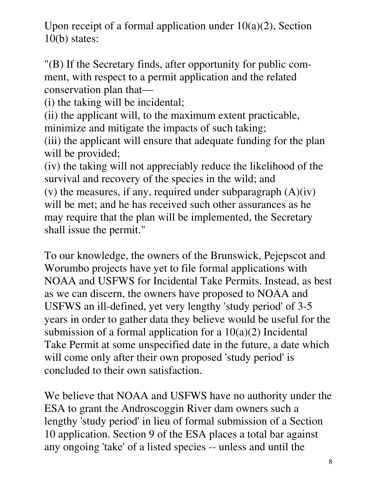Upon receipt of a formal application under  $10(a)(2)$ , Section 10(b) states:

"(B) If the Secretary finds, after opportunity for public comment, with respect to a permit application and the related conservation plan that—

(i) the taking will be incidental;

(ii) the applicant will, to the maximum extent practicable, minimize and mitigate the impacts of such taking;

(iii) the applicant will ensure that adequate funding for the plan will be provided;

(iv) the taking will not appreciably reduce the likelihood of the survival and recovery of the species in the wild; and

(v) the measures, if any, required under subparagraph  $(A)(iv)$ will be met; and he has received such other assurances as he may require that the plan will be implemented, the Secretary shall issue the permit."

To our knowledge, the owners of the Brunswick, Pejepscot and Worumbo projects have yet to file formal applications with NOAA and USFWS for Incidental Take Permits. Instead, as best as we can discern, the owners have proposed to NOAA and USFWS an ill-defined, yet very lengthy 'study period' of 3-5 years in order to gather data they believe would be useful for the submission of a formal application for a  $10(a)(2)$  Incidental Take Permit at some unspecified date in the future, a date which will come only after their own proposed 'study period' is concluded to their own satisfaction.

We believe that NOAA and USFWS have no authority under the ESA to grant the Androscoggin River dam owners such a lengthy 'study period' in lieu of formal submission of a Section 10 application. Section 9 of the ESA places a total bar against any ongoing 'take' of a listed species -- unless and until the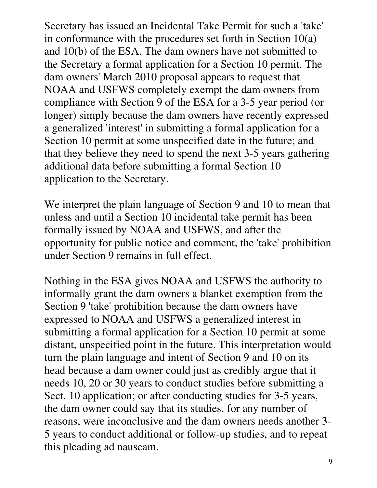Secretary has issued an Incidental Take Permit for such a 'take' in conformance with the procedures set forth in Section 10(a) and 10(b) of the ESA. The dam owners have not submitted to the Secretary a formal application for a Section 10 permit. The dam owners' March 2010 proposal appears to request that NOAA and USFWS completely exempt the dam owners from compliance with Section 9 of the ESA for a 3-5 year period (or longer) simply because the dam owners have recently expressed a generalized 'interest' in submitting a formal application for a Section 10 permit at some unspecified date in the future; and that they believe they need to spend the next 3-5 years gathering additional data before submitting a formal Section 10 application to the Secretary.

We interpret the plain language of Section 9 and 10 to mean that unless and until a Section 10 incidental take permit has been formally issued by NOAA and USFWS, and after the opportunity for public notice and comment, the 'take' prohibition under Section 9 remains in full effect.

Nothing in the ESA gives NOAA and USFWS the authority to informally grant the dam owners a blanket exemption from the Section 9 'take' prohibition because the dam owners have expressed to NOAA and USFWS a generalized interest in submitting a formal application for a Section 10 permit at some distant, unspecified point in the future. This interpretation would turn the plain language and intent of Section 9 and 10 on its head because a dam owner could just as credibly argue that it needs 10, 20 or 30 years to conduct studies before submitting a Sect. 10 application; or after conducting studies for 3-5 years, the dam owner could say that its studies, for any number of reasons, were inconclusive and the dam owners needs another 3- 5 years to conduct additional or follow-up studies, and to repeat this pleading ad nauseam.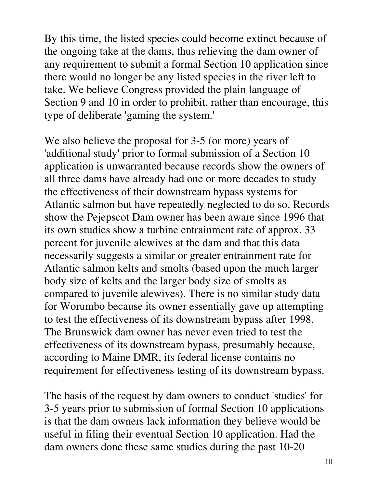By this time, the listed species could become extinct because of the ongoing take at the dams, thus relieving the dam owner of any requirement to submit a formal Section 10 application since there would no longer be any listed species in the river left to take. We believe Congress provided the plain language of Section 9 and 10 in order to prohibit, rather than encourage, this type of deliberate 'gaming the system.'

We also believe the proposal for 3-5 (or more) years of 'additional study' prior to formal submission of a Section 10 application is unwarranted because records show the owners of all three dams have already had one or more decades to study the effectiveness of their downstream bypass systems for Atlantic salmon but have repeatedly neglected to do so. Records show the Pejepscot Dam owner has been aware since 1996 that its own studies show a turbine entrainment rate of approx. 33 percent for juvenile alewives at the dam and that this data necessarily suggests a similar or greater entrainment rate for Atlantic salmon kelts and smolts (based upon the much larger body size of kelts and the larger body size of smolts as compared to juvenile alewives). There is no similar study data for Worumbo because its owner essentially gave up attempting to test the effectiveness of its downstream bypass after 1998. The Brunswick dam owner has never even tried to test the effectiveness of its downstream bypass, presumably because, according to Maine DMR, its federal license contains no requirement for effectiveness testing of its downstream bypass.

The basis of the request by dam owners to conduct 'studies' for 3-5 years prior to submission of formal Section 10 applications is that the dam owners lack information they believe would be useful in filing their eventual Section 10 application. Had the dam owners done these same studies during the past 10-20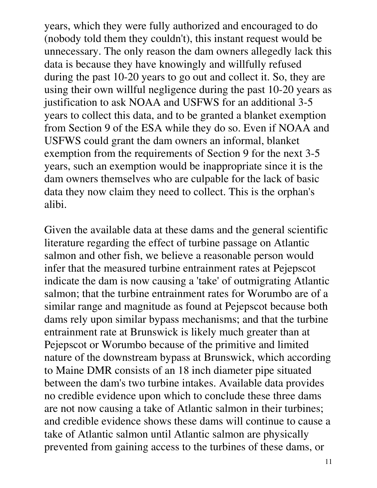years, which they were fully authorized and encouraged to do (nobody told them they couldn't), this instant request would be unnecessary. The only reason the dam owners allegedly lack this data is because they have knowingly and willfully refused during the past 10-20 years to go out and collect it. So, they are using their own willful negligence during the past 10-20 years as justification to ask NOAA and USFWS for an additional 3-5 years to collect this data, and to be granted a blanket exemption from Section 9 of the ESA while they do so. Even if NOAA and USFWS could grant the dam owners an informal, blanket exemption from the requirements of Section 9 for the next 3-5 years, such an exemption would be inappropriate since it is the dam owners themselves who are culpable for the lack of basic data they now claim they need to collect. This is the orphan's alibi.

Given the available data at these dams and the general scientific literature regarding the effect of turbine passage on Atlantic salmon and other fish, we believe a reasonable person would infer that the measured turbine entrainment rates at Pejepscot indicate the dam is now causing a 'take' of outmigrating Atlantic salmon; that the turbine entrainment rates for Worumbo are of a similar range and magnitude as found at Pejepscot because both dams rely upon similar bypass mechanisms; and that the turbine entrainment rate at Brunswick is likely much greater than at Pejepscot or Worumbo because of the primitive and limited nature of the downstream bypass at Brunswick, which according to Maine DMR consists of an 18 inch diameter pipe situated between the dam's two turbine intakes. Available data provides no credible evidence upon which to conclude these three dams are not now causing a take of Atlantic salmon in their turbines; and credible evidence shows these dams will continue to cause a take of Atlantic salmon until Atlantic salmon are physically prevented from gaining access to the turbines of these dams, or